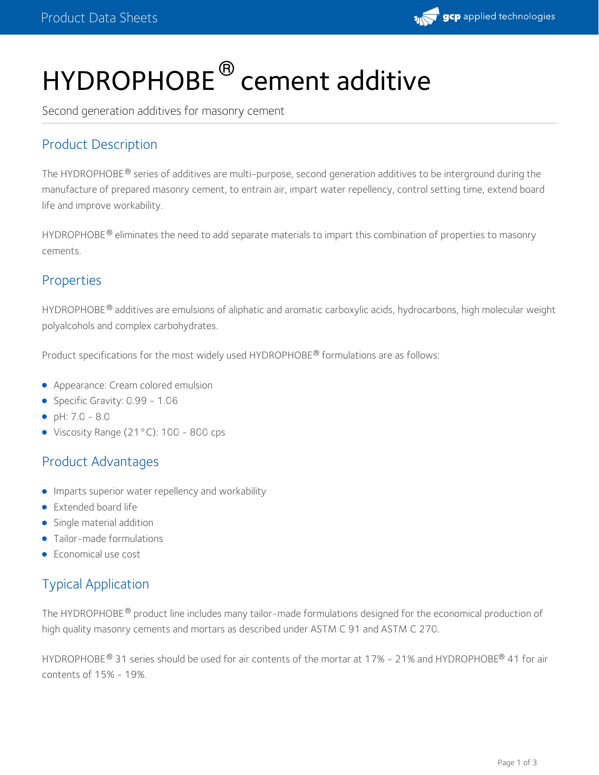

# HYDROPHOBE<sup>®</sup> cement additive

Second generation additives for masonry cement

# Product Description

The HYDROPHOBE® series of additives are multi-purpose, second generation additives to be interground during the manufacture of prepared masonry cement, to entrain air, impart water repellency, control setting time, extend board life and improve workability.

<code>HYDROPHOBE®</code> eliminates the need to add separate materials to impart this combination of properties to masonry cements.

#### Properties

<code>HYDROPHOBE®</code> additives are emulsions of aliphatic and aromatic carboxylic acids, hydrocarbons, high molecular weight polyalcohols and complex carbohydrates.

Product specifications for the most widely used HYDROPHOBE® formulations are as follows:

- **Appearance: Cream colored emulsion**
- Specific Gravity: 0.99 1.06
- $\rho H: 7.0 8.0$
- Viscosity Range (21°C): 100 800 cps

# Product Advantages

- **Imparts superior water repellency and workability**
- **Extended board life**
- Single material addition
- Tailor-made formulations
- Economical use cost

# Typical Application

The HYDROPHOBE  $^\circ$  product line includes many tailor-made formulations designed for the economical production of high quality masonry cements and mortars as described under ASTM C 91 and ASTM C 270.

HYDROPHOBE  $^\circ$  31 series should be used for air contents of the mortar at 17% - 21% and HYDROPHOBE  $^\circ$  41 for air contents of 15% - 19%.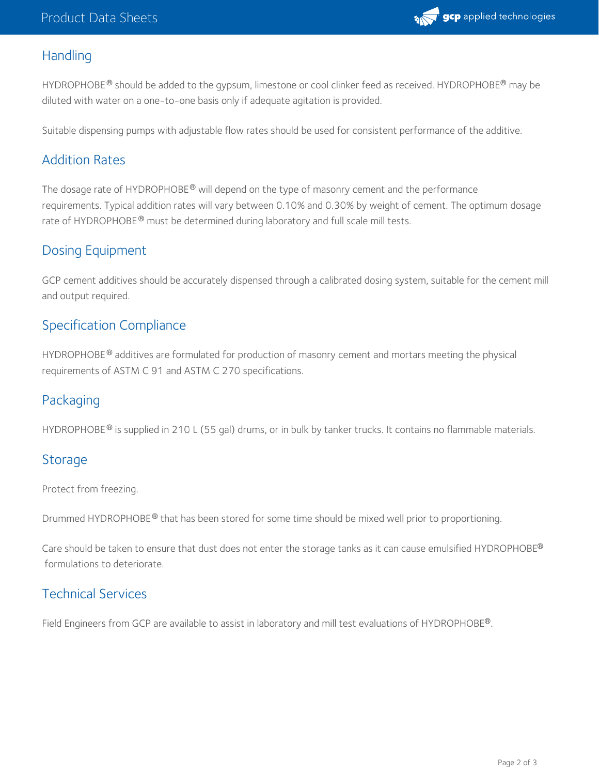

## **Handling**

HYDROPHOBE  $^\circledR$  should be added to the gypsum, limestone or cool clinker feed as received. HYDROPHOBE  $^\circledR$  may be diluted with water on a one-to-one basis only if adequate agitation is provided.

Suitable dispensing pumps with adjustable flow rates should be used for consistent performance of the additive.

## Addition Rates

The dosage rate of HYDROPHOBE® will depend on the type of masonry cement and the performance requirements. Typical addition rates will vary between 0.10% and 0.30% by weight of cement. The optimum dosage rate of HYDROPHOBE $^\circledR$  must be determined during laboratory and full scale mill tests.

## Dosing Equipment

GCP cement additives should be accurately dispensed through a calibrated dosing system, suitable for the cement mill and output required.

#### Specification Compliance

HYDROPHOBE $^{\circledR}$  additives are formulated for production of masonry cement and mortars meeting the physical requirements of ASTM C 91 and ASTM C 270 specifications.

## Packaging

HYDROPHOBE  $^\circ$  is supplied in 210 L (55 gal) drums, or in bulk by tanker trucks. It contains no flammable materials.

#### **Storage**

Protect from freezing.

Drummed HYDROPHOBE  $^\circledR$  that has been stored for some time should be mixed well prior to proportioning.

Care should be taken to ensure that dust does not enter the storage tanks as it can cause emulsified HYDROPHOBE ® formulations to deteriorate.

# Technical Services

Field Engineers from GCP are available to assist in laboratory and mill test evaluations of HYDROPHOBE®.